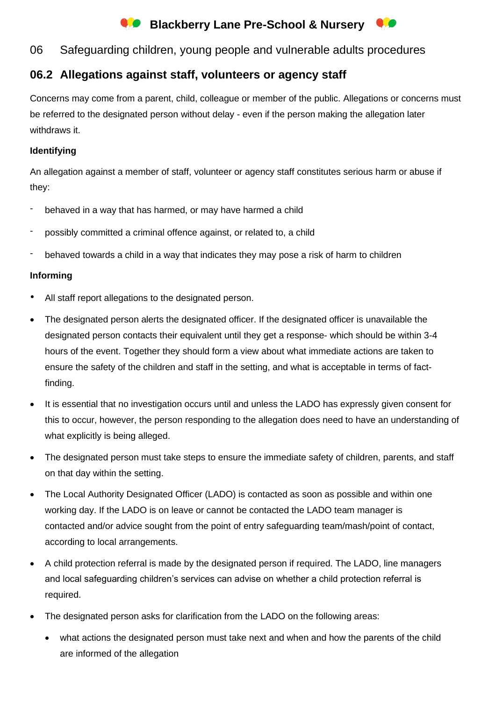# **Conducts** Blackberry Lane Pre-School & Nursery



## 06 Safeguarding children, young people and vulnerable adults procedures

## **06.2 Allegations against staff, volunteers or agency staff**

Concerns may come from a parent, child, colleague or member of the public. Allegations or concerns must be referred to the designated person without delay - even if the person making the allegation later withdraws it.

### **Identifying**

An allegation against a member of staff, volunteer or agency staff constitutes serious harm or abuse if they:

- behaved in a way that has harmed, or may have harmed a child
- possibly committed a criminal offence against, or related to, a child
- behaved towards a child in a way that indicates they may pose a risk of harm to children

## **Informing**

- All staff report allegations to the designated person.
- The designated person alerts the designated officer. If the designated officer is unavailable the designated person contacts their equivalent until they get a response- which should be within 3-4 hours of the event. Together they should form a view about what immediate actions are taken to ensure the safety of the children and staff in the setting, and what is acceptable in terms of factfinding.
- It is essential that no investigation occurs until and unless the LADO has expressly given consent for this to occur, however, the person responding to the allegation does need to have an understanding of what explicitly is being alleged.
- The designated person must take steps to ensure the immediate safety of children, parents, and staff on that day within the setting.
- The Local Authority Designated Officer (LADO) is contacted as soon as possible and within one working day. If the LADO is on leave or cannot be contacted the LADO team manager is contacted and/or advice sought from the point of entry safeguarding team/mash/point of contact, according to local arrangements.
- A child protection referral is made by the designated person if required. The LADO, line managers and local safeguarding children's services can advise on whether a child protection referral is required.
- The designated person asks for clarification from the LADO on the following areas:
	- what actions the designated person must take next and when and how the parents of the child are informed of the allegation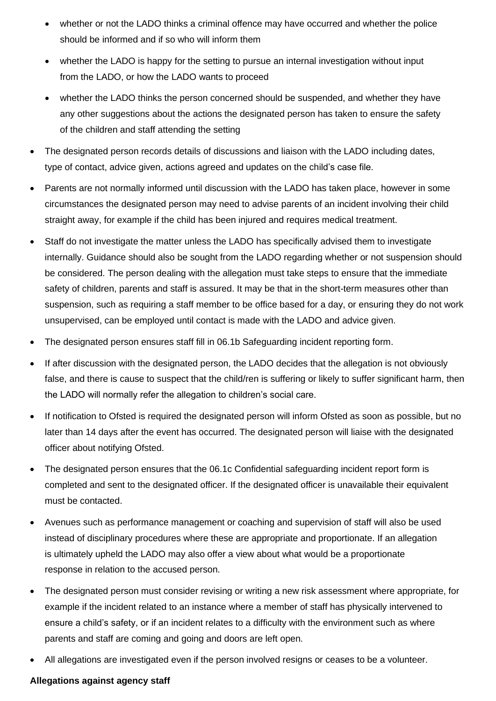- whether or not the LADO thinks a criminal offence may have occurred and whether the police should be informed and if so who will inform them
- whether the LADO is happy for the setting to pursue an internal investigation without input from the LADO, or how the LADO wants to proceed
- whether the LADO thinks the person concerned should be suspended, and whether they have any other suggestions about the actions the designated person has taken to ensure the safety of the children and staff attending the setting
- The designated person records details of discussions and liaison with the LADO including dates, type of contact, advice given, actions agreed and updates on the child's case file.
- Parents are not normally informed until discussion with the LADO has taken place, however in some circumstances the designated person may need to advise parents of an incident involving their child straight away, for example if the child has been injured and requires medical treatment.
- Staff do not investigate the matter unless the LADO has specifically advised them to investigate internally. Guidance should also be sought from the LADO regarding whether or not suspension should be considered. The person dealing with the allegation must take steps to ensure that the immediate safety of children, parents and staff is assured. It may be that in the short-term measures other than suspension, such as requiring a staff member to be office based for a day, or ensuring they do not work unsupervised, can be employed until contact is made with the LADO and advice given.
- The designated person ensures staff fill in 06.1b Safeguarding incident reporting form.
- If after discussion with the designated person, the LADO decides that the allegation is not obviously false, and there is cause to suspect that the child/ren is suffering or likely to suffer significant harm, then the LADO will normally refer the allegation to children's social care.
- If notification to Ofsted is required the designated person will inform Ofsted as soon as possible, but no later than 14 days after the event has occurred. The designated person will liaise with the designated officer about notifying Ofsted.
- The designated person ensures that the 06.1c Confidential safeguarding incident report form is completed and sent to the designated officer. If the designated officer is unavailable their equivalent must be contacted.
- Avenues such as performance management or coaching and supervision of staff will also be used instead of disciplinary procedures where these are appropriate and proportionate. If an allegation is ultimately upheld the LADO may also offer a view about what would be a proportionate response in relation to the accused person.
- The designated person must consider revising or writing a new risk assessment where appropriate, for example if the incident related to an instance where a member of staff has physically intervened to ensure a child's safety, or if an incident relates to a difficulty with the environment such as where parents and staff are coming and going and doors are left open.
- All allegations are investigated even if the person involved resigns or ceases to be a volunteer.

#### **Allegations against agency staff**